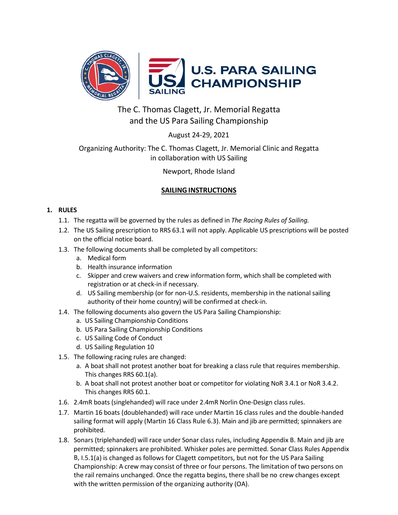

# The C. Thomas Clagett, Jr. Memorial Regatta and the US Para Sailing Championship

August 24-29, 2021

## Organizing Authority: The C. Thomas Clagett, Jr. Memorial Clinic and Regatta in collaboration with US Sailing

Newport, Rhode Island

## **SAILINGINSTRUCTIONS**

## **1. RULES**

- 1.1. The regatta will be governed by the rules as defined in *The Racing Rules of Sailing.*
- 1.2. The US Sailing prescription to RRS 63.1 will not apply. Applicable US prescriptions will be posted on the official notice board.
- 1.3. The following documents shall be completed by all competitors:
	- a. Medical form
	- b. Health insurance information
	- c. Skipper and crew waivers and crew information form, which shall be completed with registration or at check-in if necessary.
	- d. US Sailing membership (or for non-U.S. residents, membership in the national sailing authority of their home country) will be confirmed at check-in.
- 1.4. The following documents also govern the US Para Sailing Championship:
	- a. US Sailing Championship Conditions
	- b. US Para Sailing Championship Conditions
	- c. US Sailing Code of Conduct
	- d. US Sailing Regulation 10
- 1.5. The following racing rules are changed:
	- a. A boat shall not protest another boat for breaking a class rule that requires membership. This changes RRS 60.1(a).
	- b. A boat shall not protest another boat or competitor for violating NoR 3.4.1 or NoR 3.4.2. This changes RRS 60.1.
- 1.6. 2.4mR boats (singlehanded) will race under 2.4mR Norlin One-Design class rules.
- 1.7. Martin 16 boats (doublehanded) will race under Martin 16 class rules and the double-handed sailing format will apply (Martin 16 Class Rule 6.3). Main and jib are permitted; spinnakers are prohibited.
- 1.8. Sonars (triplehanded) will race under Sonar class rules, including Appendix B. Main and jib are permitted; spinnakers are prohibited. Whisker poles are permitted. Sonar Class Rules Appendix B, I.5.1(a) is changed as follows for Clagett competitors, but not for the US Para Sailing Championship: A crew may consist of three or four persons. The limitation of two persons on the rail remains unchanged. Once the regatta begins, there shall be no crew changes except with the written permission of the organizing authority (OA).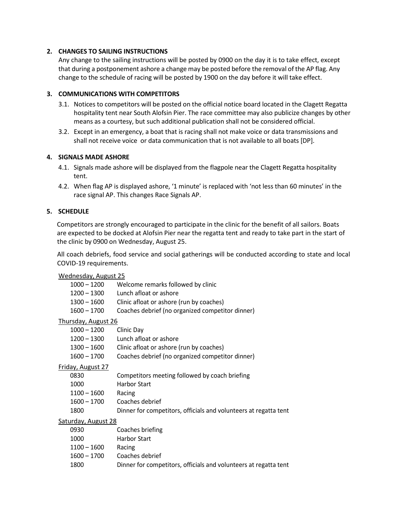## **2. CHANGES TO SAILING INSTRUCTIONS**

Any change to the sailing instructions will be posted by 0900 on the day it is to take effect, except that during a postponement ashore a change may be posted before the removal of the AP flag. Any change to the schedule of racing will be posted by 1900 on the day before it will take effect.

### **3. COMMUNICATIONS WITH COMPETITORS**

- 3.1. Notices to competitors will be posted on the official notice board located in the Clagett Regatta hospitality tent near South Alofsin Pier. The race committee may also publicize changes by other means as a courtesy, but such additional publication shall not be considered official.
- 3.2. Except in an emergency, a boat that is racing shall not make voice or data transmissions and shall not receive voice or data communication that is not available to all boats [DP].

## **4. SIGNALS MADE ASHORE**

- 4.1. Signals made ashore will be displayed from the flagpole near the Clagett Regatta hospitality tent.
- 4.2. When flag AP is displayed ashore, '1 minute' is replaced with 'not less than 60 minutes' in the race signal AP. This changes Race Signals AP.

### **5. SCHEDULE**

Competitors are strongly encouraged to participate in the clinic for the benefit of all sailors. Boats are expected to be docked at Alofsin Pier near the regatta tent and ready to take part in the start of the clinic by 0900 on Wednesday, August 25.

All coach debriefs, food service and social gatherings will be conducted according to state and local COVID-19 requirements.

## Wednesday, August 25

| 1000 – 1200                | Welcome remarks followed by clinic                               |
|----------------------------|------------------------------------------------------------------|
| 1200 – 1300                | Lunch afloat or ashore                                           |
| 1300 – 1600                | Clinic afloat or ashore (run by coaches)                         |
| $1600 - 1700$              | Coaches debrief (no organized competitor dinner)                 |
| <b>Thursday, August 26</b> |                                                                  |
| $1000 - 1200$              | Clinic Day                                                       |
| $1200 - 1300$              | Lunch afloat or ashore                                           |
| $1300 - 1600$              | Clinic afloat or ashore (run by coaches)                         |
| 1600 - 1700                | Coaches debrief (no organized competitor dinner)                 |
| <b>Friday, August 27</b>   |                                                                  |
| 0830                       | Competitors meeting followed by coach briefing                   |
| 1000                       | <b>Harbor Start</b>                                              |
| $1100 - 1600$              | Racing                                                           |
| $1600 - 1700$              | Coaches debrief                                                  |
| 1800                       | Dinner for competitors, officials and volunteers at regatta tent |
| Saturday, August 28        |                                                                  |
| 0930                       | Coaches briefing                                                 |
| 1000                       | <b>Harbor Start</b>                                              |

| Racing                                                           |
|------------------------------------------------------------------|
| Coaches debrief                                                  |
| Dinner for competitors, officials and volunteers at regatta tent |
|                                                                  |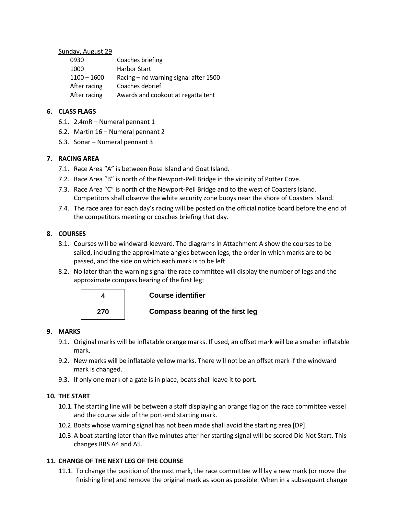#### Sunday, August 29

| 0930          | Coaches briefing                        |
|---------------|-----------------------------------------|
| 1000          | <b>Harbor Start</b>                     |
| $1100 - 1600$ | Racing $-$ no warning signal after 1500 |
| After racing  | Coaches debrief                         |
| After racing  | Awards and cookout at regatta tent      |

### **6. CLASS FLAGS**

- 6.1. 2.4mR Numeral pennant 1
- 6.2. Martin 16 Numeral pennant 2
- 6.3. Sonar Numeral pennant 3

## **7. RACING AREA**

- 7.1. Race Area "A" is between Rose Island and Goat Island.
- 7.2. Race Area "B" is north of the Newport-Pell Bridge in the vicinity of Potter Cove.
- 7.3. Race Area "C" is north of the Newport-Pell Bridge and to the west of Coasters Island. Competitors shall observe the white security zone buoys near the shore of Coasters Island.
- 7.4. The race area for each day's racing will be posted on the official notice board before the end of the competitors meeting or coaches briefing that day.

## **8. COURSES**

- 8.1. Courses will be windward-leeward. The diagrams in Attachment A show the courses to be sailed, including the approximate angles between legs, the order in which marks are to be passed, and the side on which each mark is to be left.
- 8.2. No later than the warning signal the race committee will display the number of legs and the approximate compass bearing of the first leg:



## **Course identifier**

#### **9. MARKS**

- 9.1. Original marks will be inflatable orange marks. If used, an offset mark will be a smaller inflatable mark.
- 9.2. New marks will be inflatable yellow marks. There will not be an offset mark if the windward mark is changed.
- 9.3. If only one mark of a gate is in place, boats shall leave it to port.

#### **10. THE START**

- 10.1. The starting line will be between a staff displaying an orange flag on the race committee vessel and the course side of the port-end starting mark.
- 10.2.Boats whose warning signal has not been made shall avoid the starting area [DP].
- 10.3.A boat starting later than five minutes after her starting signal will be scored Did Not Start. This changes RRS A4 and A5.

## **11. CHANGE OF THE NEXT LEG OF THE COURSE**

11.1. To change the position of the next mark, the race committee will lay a new mark (or move the finishing line) and remove the original mark as soon as possible. When in a subsequent change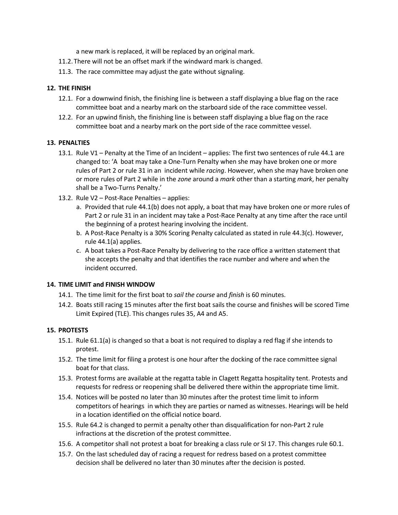a new mark is replaced, it will be replaced by an original mark.

- 11.2. There will not be an offset mark if the windward mark is changed.
- 11.3. The race committee may adjust the gate without signaling.

### **12. THE FINISH**

- 12.1. For a downwind finish, the finishing line is between a staff displaying a blue flag on the race committee boat and a nearby mark on the starboard side of the race committee vessel.
- 12.2. For an upwind finish, the finishing line is between staff displaying a blue flag on the race committee boat and a nearby mark on the port side of the race committee vessel.

#### **13. PENALTIES**

- 13.1. Rule V1 Penalty at the Time of an Incident applies: The first two sentences of rule 44.1 are changed to: 'A boat may take a One-Turn Penalty when she may have broken one or more rules of Part 2 or rule 31 in an incident while *racing*. However, when she may have broken one or more rules of Part 2 while in the *zone* around a *mark* other than a starting *mark*, her penalty shall be a Two-Turns Penalty.'
- 13.2. Rule V2 Post-Race Penalties applies:
	- a. Provided that rule 44.1(b) does not apply, a boat that may have broken one or more rules of Part 2 or rule 31 in an incident may take a Post-Race Penalty at any time after the race until the beginning of a protest hearing involving the incident.
	- b. A Post-Race Penalty is a 30% Scoring Penalty calculated as stated in rule 44.3(c). However, rule 44.1(a) applies.
	- c. A boat takes a Post-Race Penalty by delivering to the race office a written statement that she accepts the penalty and that identifies the race number and where and when the incident occurred.

#### **14. TIME LIMIT and FINISH WINDOW**

- 14.1. The time limit for the first boat to *sail the course* and *finish* is 60 minutes.
- 14.2. Boats still racing 15 minutes after the first boat sails the course and finishes will be scored Time Limit Expired (TLE). This changes rules 35, A4 and A5.

#### **15. PROTESTS**

- 15.1. Rule 61.1(a) is changed so that a boat is not required to display a red flag if she intends to protest.
- 15.2. The time limit for filing a protest is one hour after the docking of the race committee signal boat for that class.
- 15.3. Protest forms are available at the regatta table in Clagett Regatta hospitality tent. Protests and requests for redress or reopening shall be delivered there within the appropriate time limit.
- 15.4. Notices will be posted no later than 30 minutes after the protest time limit to inform competitors of hearings in which they are parties or named as witnesses. Hearings will be held in a location identified on the official notice board.
- 15.5. Rule 64.2 is changed to permit a penalty other than disqualification for non-Part 2 rule infractions at the discretion of the protest committee.
- 15.6. A competitor shall not protest a boat for breaking a class rule or SI 17. This changes rule 60.1.
- 15.7. On the last scheduled day of racing a request for redress based on a protest committee decision shall be delivered no later than 30 minutes after the decision is posted.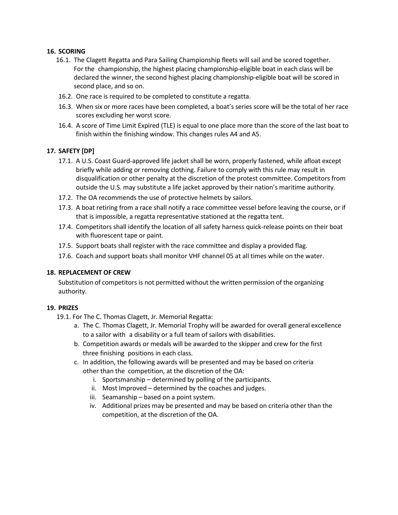#### **16. SCORING**

- 16.1. The Clagett Regatta and Para Sailing Championship fleets will sail and be scored together. For the championship, the highest placing championship-eligible boat in each class will be declared the winner, the second highest placing championship-eligible boat will be scored in second place, and so on.
- 16.2. One race is required to be completed to constitute a regatta.
- 16.3. When six or more races have been completed, a boat's series score will be the total of her race scores excluding her worst score.
- 16.4. A score of Time Limit Expired (TLE) is equal to one place more than the score of the last boat to finish within the finishing window. This changes rules A4 and A5.

#### **17. SAFETY [DP]**

- 17.1. A U.S. Coast Guard-approved life jacket shall be worn, properly fastened, while afloat except briefly while adding or removing clothing. Failure to comply with this rule may result in disqualification or other penalty at the discretion of the protest committee. Competitors from outside the U.S. may substitute a life jacket approved by their nation's maritime authority.
- 17.2. The OA recommends the use of protective helmets by sailors.
- 17.3. A boat retiring from a race shall notify a race committee vessel before leaving the course, or if that is impossible, a regatta representative stationed at the regatta tent.
- 17.4. Competitors shall identify the location of all safety harness quick-release points on their boat with fluorescent tape or paint.
- 17.5. Support boats shall register with the race committee and display a provided flag.
- 17.6. Coach and support boats shall monitor VHF channel 05 at all times while on the water.

#### **18. REPLACEMENT OF CREW**

Substitution of competitors is not permitted without the written permission of the organizing authority.

#### **19. PRIZES**

- 19.1. For The C. Thomas Clagett, Jr. Memorial Regatta:
	- a. The C. Thomas Clagett, Jr. Memorial Trophy will be awarded for overall general excellence to a sailor with a disability or a full team of sailors with disabilities.
	- b. Competition awards or medals will be awarded to the skipper and crew for the first three finishing positions in each class.
	- c. In addition, the following awards will be presented and may be based on criteria other than the competition, at the discretion of the OA:
		- i. Sportsmanship determined by polling of the participants.
		- ii. Most Improved determined by the coaches and judges.
		- iii. Seamanship based on a point system.
		- iv. Additional prizes may be presented and may be based on criteria other than the competition, at the discretion of the OA.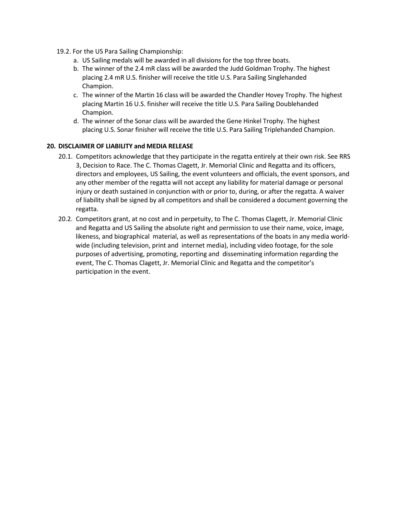- 19.2. For the US Para Sailing Championship:
	- a. US Sailing medals will be awarded in all divisions for the top three boats.
	- b. The winner of the 2.4 mR class will be awarded the Judd Goldman Trophy. The highest placing 2.4 mR U.S. finisher will receive the title U.S. Para Sailing Singlehanded Champion.
	- c. The winner of the Martin 16 class will be awarded the Chandler Hovey Trophy. The highest placing Martin 16 U.S. finisher will receive the title U.S. Para Sailing Doublehanded Champion.
	- d. The winner of the Sonar class will be awarded the Gene Hinkel Trophy. The highest placing U.S. Sonar finisher will receive the title U.S. Para Sailing Triplehanded Champion.

## **20. DISCLAIMER OF LIABILITY and MEDIA RELEASE**

- 20.1. Competitors acknowledge that they participate in the regatta entirely at their own risk. See RRS 3, Decision to Race. The C. Thomas Clagett, Jr. Memorial Clinic and Regatta and its officers, directors and employees, US Sailing, the event volunteers and officials, the event sponsors, and any other member of the regatta will not accept any liability for material damage or personal injury or death sustained in conjunction with or prior to, during, or after the regatta. A waiver of liability shall be signed by all competitors and shall be considered a document governing the regatta.
- 20.2. Competitors grant, at no cost and in perpetuity, to The C. Thomas Clagett, Jr. Memorial Clinic and Regatta and US Sailing the absolute right and permission to use their name, voice, image, likeness, and biographical material, as well as representations of the boats in any media worldwide (including television, print and internet media), including video footage, for the sole purposes of advertising, promoting, reporting and disseminating information regarding the event, The C. Thomas Clagett, Jr. Memorial Clinic and Regatta and the competitor's participation in the event.